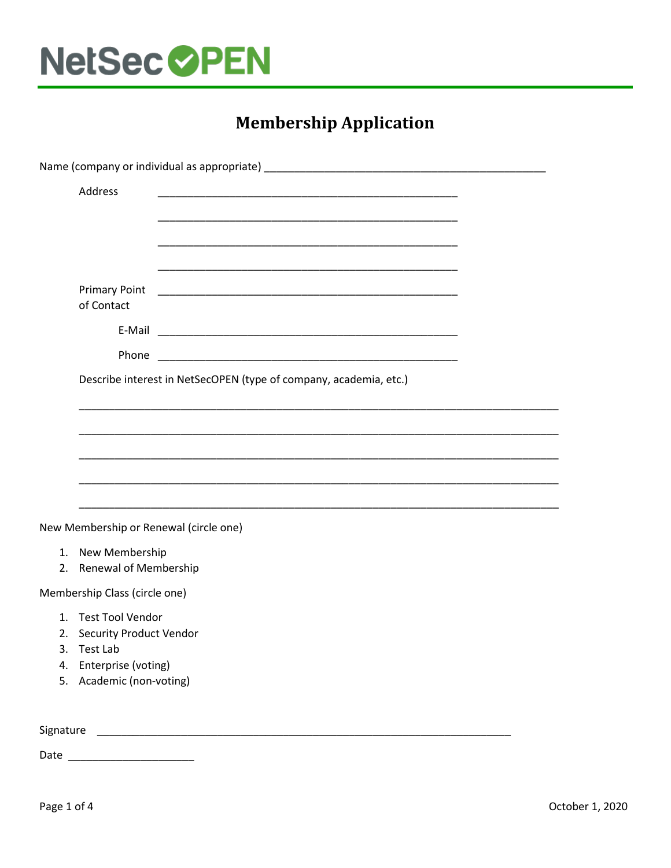

## **Membership Application**

| Address<br><u> 1989 - Johann John Stone, mars eta biztanleria (h. 1989).</u><br><b>Primary Point</b><br>of Contact<br>Phone<br>Describe interest in NetSecOPEN (type of company, academia, etc.)<br>New Membership or Renewal (circle one)<br>1. New Membership<br>2. Renewal of Membership<br>Membership Class (circle one)<br>1. Test Tool Vendor<br>2. Security Product Vendor<br>3. Test Lab<br>Enterprise (voting)<br>4.<br>5. Academic (non-voting) |           |  |
|-----------------------------------------------------------------------------------------------------------------------------------------------------------------------------------------------------------------------------------------------------------------------------------------------------------------------------------------------------------------------------------------------------------------------------------------------------------|-----------|--|
|                                                                                                                                                                                                                                                                                                                                                                                                                                                           |           |  |
|                                                                                                                                                                                                                                                                                                                                                                                                                                                           |           |  |
|                                                                                                                                                                                                                                                                                                                                                                                                                                                           |           |  |
|                                                                                                                                                                                                                                                                                                                                                                                                                                                           |           |  |
|                                                                                                                                                                                                                                                                                                                                                                                                                                                           |           |  |
|                                                                                                                                                                                                                                                                                                                                                                                                                                                           |           |  |
|                                                                                                                                                                                                                                                                                                                                                                                                                                                           |           |  |
|                                                                                                                                                                                                                                                                                                                                                                                                                                                           |           |  |
|                                                                                                                                                                                                                                                                                                                                                                                                                                                           |           |  |
|                                                                                                                                                                                                                                                                                                                                                                                                                                                           |           |  |
|                                                                                                                                                                                                                                                                                                                                                                                                                                                           |           |  |
|                                                                                                                                                                                                                                                                                                                                                                                                                                                           |           |  |
|                                                                                                                                                                                                                                                                                                                                                                                                                                                           |           |  |
|                                                                                                                                                                                                                                                                                                                                                                                                                                                           |           |  |
|                                                                                                                                                                                                                                                                                                                                                                                                                                                           |           |  |
|                                                                                                                                                                                                                                                                                                                                                                                                                                                           |           |  |
|                                                                                                                                                                                                                                                                                                                                                                                                                                                           |           |  |
|                                                                                                                                                                                                                                                                                                                                                                                                                                                           |           |  |
|                                                                                                                                                                                                                                                                                                                                                                                                                                                           |           |  |
|                                                                                                                                                                                                                                                                                                                                                                                                                                                           |           |  |
|                                                                                                                                                                                                                                                                                                                                                                                                                                                           |           |  |
|                                                                                                                                                                                                                                                                                                                                                                                                                                                           | Signature |  |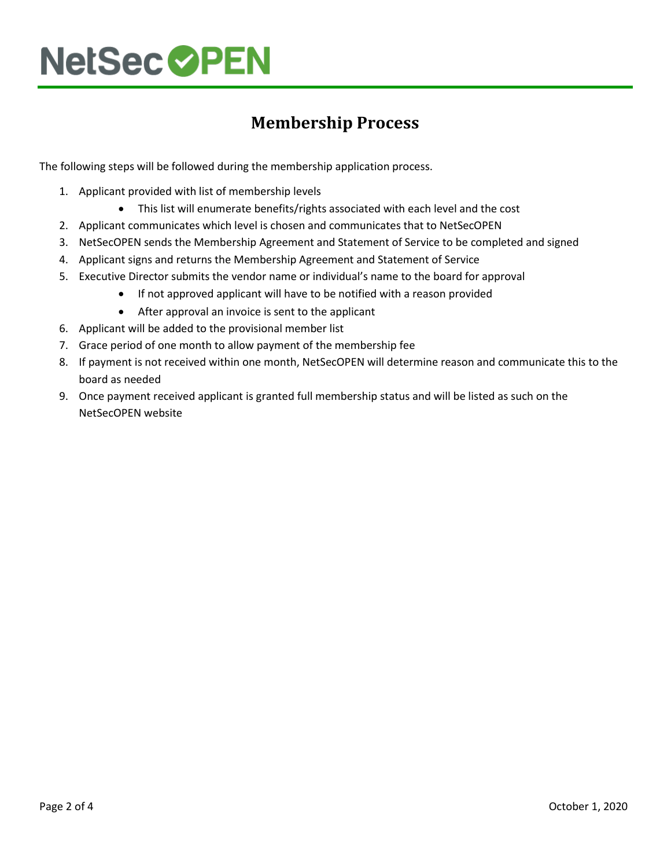# **NetSec OPEN**

### **Membership Process**

The following steps will be followed during the membership application process.

- 1. Applicant provided with list of membership levels
	- This list will enumerate benefits/rights associated with each level and the cost
- 2. Applicant communicates which level is chosen and communicates that to NetSecOPEN
- 3. NetSecOPEN sends the Membership Agreement and Statement of Service to be completed and signed
- 4. Applicant signs and returns the Membership Agreement and Statement of Service
- 5. Executive Director submits the vendor name or individual's name to the board for approval
	- If not approved applicant will have to be notified with a reason provided
	- After approval an invoice is sent to the applicant
- 6. Applicant will be added to the provisional member list
- 7. Grace period of one month to allow payment of the membership fee
- 8. If payment is not received within one month, NetSecOPEN will determine reason and communicate this to the board as needed
- 9. Once payment received applicant is granted full membership status and will be listed as such on the NetSecOPEN website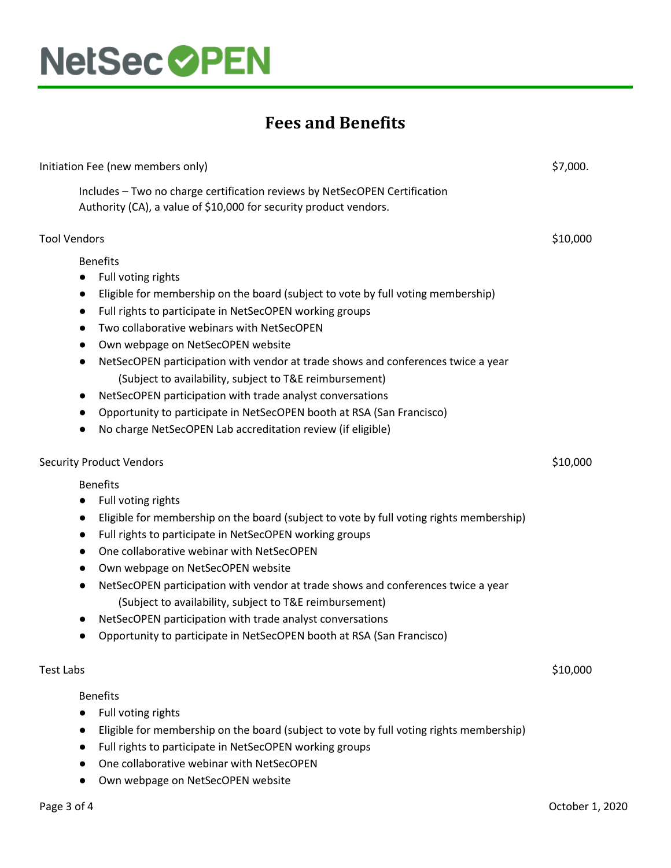

### **Fees and Benefits**

| Initiation Fee (new members only) |                                                                                                                                                 | \$7,000. |
|-----------------------------------|-------------------------------------------------------------------------------------------------------------------------------------------------|----------|
|                                   | Includes - Two no charge certification reviews by NetSecOPEN Certification<br>Authority (CA), a value of \$10,000 for security product vendors. |          |
| <b>Tool Vendors</b>               |                                                                                                                                                 | \$10,000 |
|                                   | <b>Benefits</b>                                                                                                                                 |          |
| $\bullet$                         | Full voting rights                                                                                                                              |          |
| $\bullet$                         | Eligible for membership on the board (subject to vote by full voting membership)                                                                |          |
| $\bullet$                         | Full rights to participate in NetSecOPEN working groups                                                                                         |          |
| $\bullet$                         | Two collaborative webinars with NetSecOPEN                                                                                                      |          |
| $\bullet$                         | Own webpage on NetSecOPEN website                                                                                                               |          |
| $\bullet$                         | NetSecOPEN participation with vendor at trade shows and conferences twice a year                                                                |          |
|                                   | (Subject to availability, subject to T&E reimbursement)                                                                                         |          |
| $\bullet$                         | NetSecOPEN participation with trade analyst conversations                                                                                       |          |
| $\bullet$                         | Opportunity to participate in NetSecOPEN booth at RSA (San Francisco)                                                                           |          |
|                                   | No charge NetSecOPEN Lab accreditation review (if eligible)                                                                                     |          |
|                                   | <b>Security Product Vendors</b>                                                                                                                 |          |
|                                   | <b>Benefits</b>                                                                                                                                 |          |
| $\bullet$                         | Full voting rights                                                                                                                              |          |
| $\bullet$                         | Eligible for membership on the board (subject to vote by full voting rights membership)                                                         |          |
| $\bullet$                         | Full rights to participate in NetSecOPEN working groups                                                                                         |          |
| $\bullet$                         | One collaborative webinar with NetSecOPEN                                                                                                       |          |
| $\bullet$                         | Own webpage on NetSecOPEN website                                                                                                               |          |
| $\bullet$                         | NetSecOPEN participation with vendor at trade shows and conferences twice a year                                                                |          |
|                                   | (Subject to availability, subject to T&E reimbursement)                                                                                         |          |
| $\bullet$                         | NetSecOPEN participation with trade analyst conversations                                                                                       |          |
|                                   | Opportunity to participate in NetSecOPEN booth at RSA (San Francisco)                                                                           |          |
| Test Labs                         |                                                                                                                                                 | \$10,000 |
|                                   | <b>Benefits</b>                                                                                                                                 |          |
|                                   | Full voting rights                                                                                                                              |          |
|                                   | Eligible for membership on the board (subject to vote by full voting rights membership)                                                         |          |
|                                   | Full rights to participate in NetSecOPEN working groups                                                                                         |          |

- One collaborative webinar with NetSecOPEN
- Own webpage on NetSecOPEN website